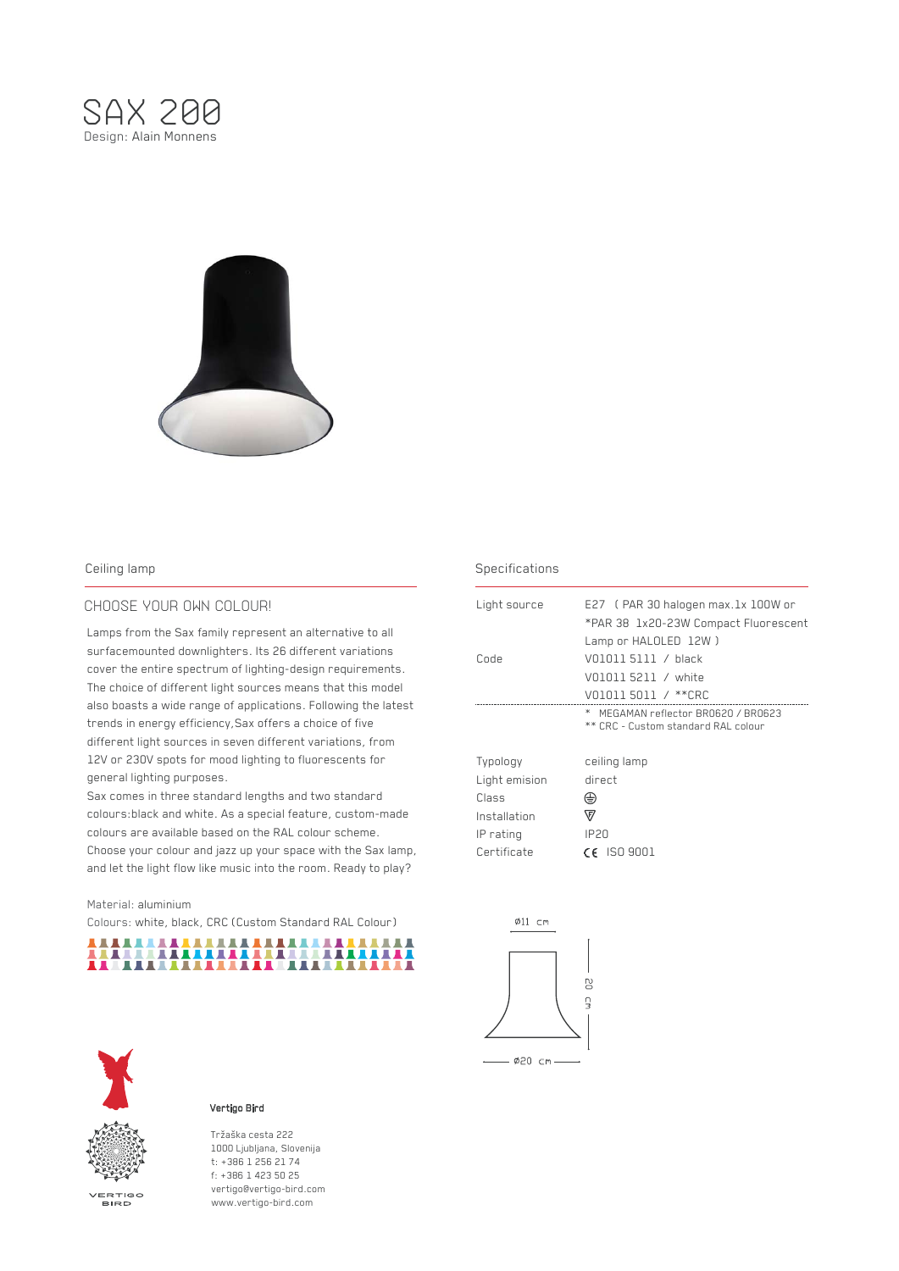



# CHOOSE YOUR OWN COLOUR!

Lamps from the Sax family represent an alternative to all surfacemounted downlighters. Its 26 different variations cover the entire spectrum of lighting-design requirements. The choice of different light sources means that this model also boasts a wide range of applications. Following the latest trends in energy efficiency,Sax offers a choice of five different light sources in seven different variations, from 12V or 230V spots for mood lighting to fluorescents for general lighting purposes.

Sax comes in three standard lengths and two standard colours:black and white. As a special feature, custom-made colours are available based on the RAL colour scheme. Choose your colour and jazz up your space with the Sax lamp, and let the light flow like music into the room. Ready to play?

### Material: aluminium

Colours: white, black, CRC (Custom Standard RAL Colour)





VERTIGO<br>BIRD

### Vertigo Bird

Tržaška cesta 222 1000 Ljubljana, Slovenija t: +386 1 256 21 74 f: +386 1 423 50 25 vertigo@vertigo-bird.com www.vertigo-bird.com

# Ceiling lamp Specifications Ceiling lamp

| Light source                                                                   | E27 (PAR 30 halogen max.1x 100W or<br>*PAR 38 1x20-23W Compact Fluorescent                |
|--------------------------------------------------------------------------------|-------------------------------------------------------------------------------------------|
| Code                                                                           | Lamp or HALOLED 12W)<br>VO1011 5111 / black<br>V01011 5211 / white<br>VO1011 5011 / **CRC |
|                                                                                | MEGAMAN reflector BR0620 / BR0623<br>ж<br>** CRC - Custom standard RAL colour             |
| Typology<br>Light emision<br>Class<br>Installation<br>IP rating<br>Certificate | ceiling lamp<br>direct<br>⇔<br>囚<br>IP2N<br>$CE$ ISO 9001                                 |

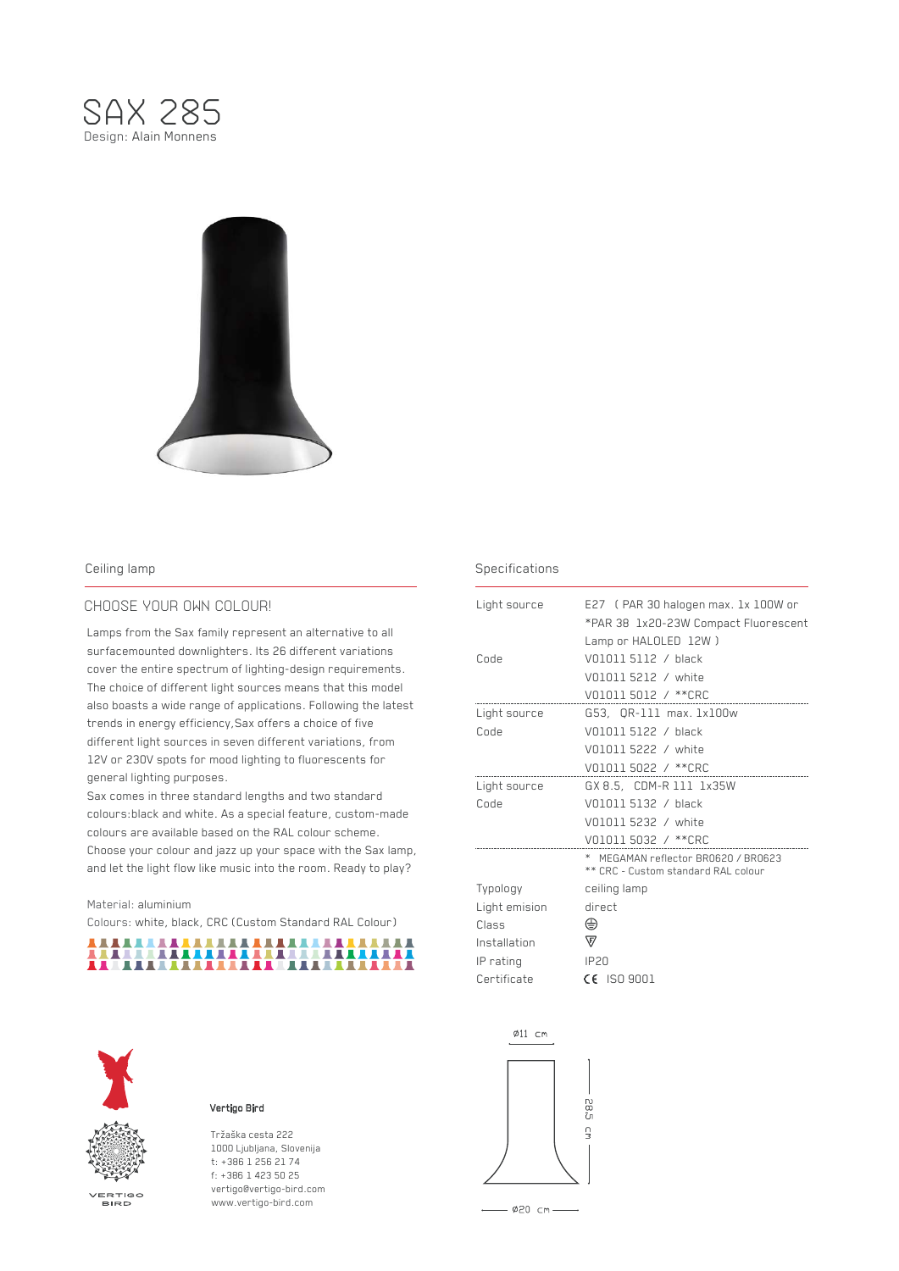



# CHOOSE YOUR OWN COLOUR!

Lamps from the Sax family represent an alternative to all surfacemounted downlighters. Its 26 different variations cover the entire spectrum of lighting-design requirements. The choice of different light sources means that this model also boasts a wide range of applications. Following the latest trends in energy efficiency,Sax offers a choice of five different light sources in seven different variations, from 12V or 230V spots for mood lighting to fluorescents for general lighting purposes.

Sax comes in three standard lengths and two standard colours:black and white. As a special feature, custom-made colours are available based on the RAL colour scheme. Choose your colour and jazz up your space with the Sax lamp, and let the light flow like music into the room. Ready to play?

### Material: aluminium

Colours: white, black, CRC (Custom Standard RAL Colour)





VERTIGO<br>BIRD

# Vertigo Bird

Tržaška cesta 222 1000 Ljubljana, Slovenija t: +386 1 256 21 74 f: +386 1 423 50 25 vertigo@vertigo-bird.com www.vertigo-bird.com

# Ceiling lamp Specifications Ceiling lamp

| Light source  | E27 (PAR 30 halogen max. 1x 100W or                                        |
|---------------|----------------------------------------------------------------------------|
|               | *PAR 38 1x20-23W Compact Fluorescent                                       |
|               | Lamp or HALOLED 12W)                                                       |
| Code          | V01011 5112 / black                                                        |
|               | V01011 5212 / white                                                        |
|               | V01011 5012 / **CRC                                                        |
| Light source  | G53, OR-111 max. 1x100w                                                    |
| Code          | V01011 5122 / black                                                        |
|               | V01011 5222 / white                                                        |
|               | V01011 5022 / ** CRC                                                       |
| Light source  | GX 8.5, CDM-R 111 1x35W                                                    |
| Code          | V01011 5132 / black                                                        |
|               | V01011 5232 / white                                                        |
|               | V01011 5032 / **CRC                                                        |
|               | * MEGAMAN reflector BRO620 / BRO623<br>** CRC - Custom standard RAL colour |
| Typology      | ceiling lamp                                                               |
| Light emision | direct                                                                     |
| Class         | ⊕                                                                          |
| Installation  | $\mathbb \nabla$                                                           |
| IP rating     | <b>IP20</b>                                                                |
| Certificate   | $CE$ ISO 9001                                                              |

∅11 cm



 $-$  Ø20 cm -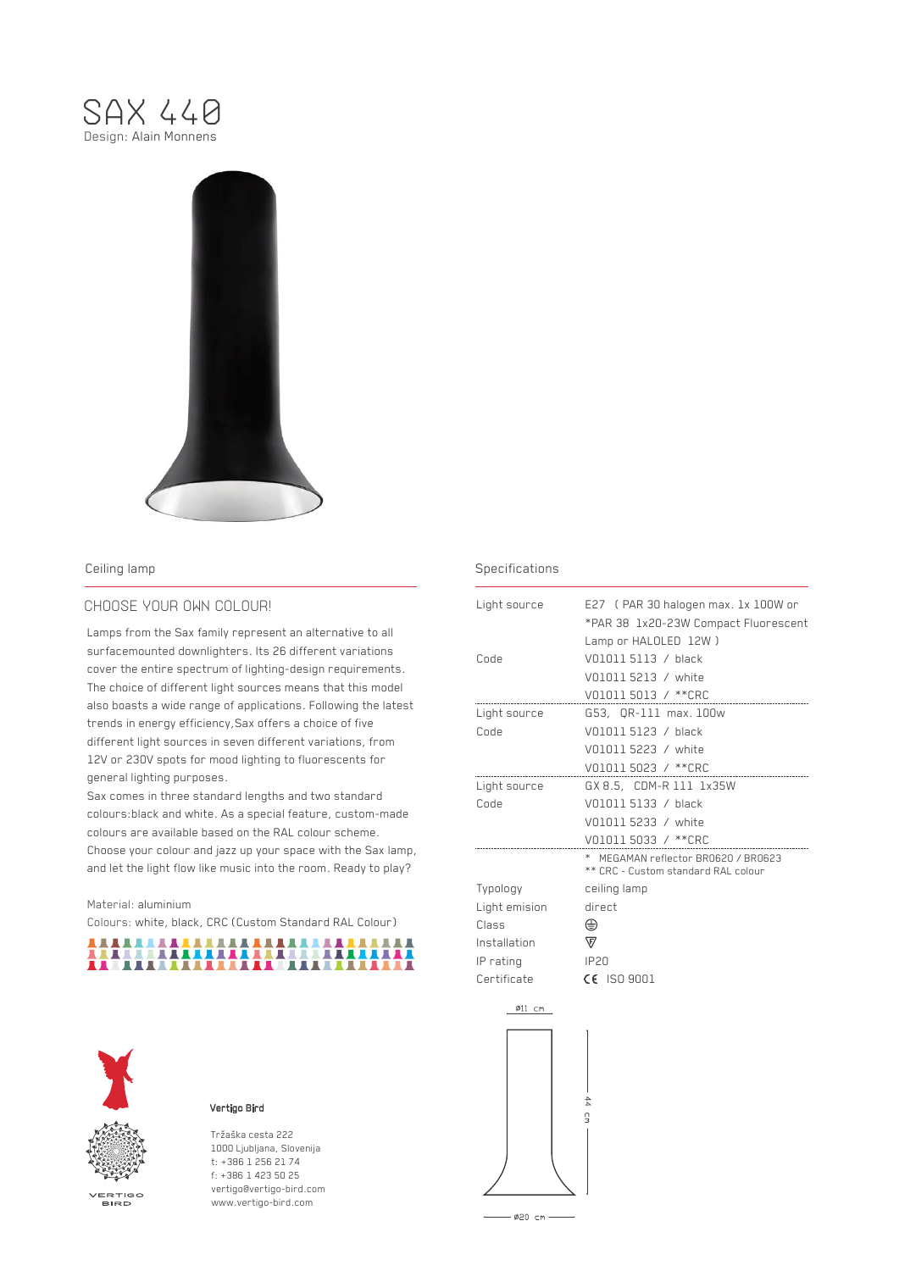



# CHOOSE YOUR OWN COLOUR!

Lamps from the Sax family represent an alternative to all surfacemounted downlighters. Its 26 different variations cover the entire spectrum of lighting-design requirements. The choice of different light sources means that this model also boasts a wide range of applications. Following the latest trends in energy efficiency,Sax offers a choice of five different light sources in seven different variations, from 12V or 230V spots for mood lighting to fluorescents for general lighting purposes.

Sax comes in three standard lengths and two standard colours:black and white. As a special feature, custom-made colours are available based on the RAL colour scheme. Choose your colour and jazz up your space with the Sax lamp, and let the light flow like music into the room. Ready to play?

### Material: aluminium

Colours: white, black, CRC (Custom Standard RAL Colour)





VERTIGO<br>BIRD

# Vertigo Bird

Tržaška cesta 222 1000 Ljubljana, Slovenija t: +386 1 256 21 74 f: +386 1 423 50 25 vertigo@vertigo-bird.com www.vertigo-bird.com

# Ceiling lamp Specifications and the Ceiling lamp

| Light source  | E27 (PAR 30 halogen max. 1x 100W or                                        |
|---------------|----------------------------------------------------------------------------|
|               | *PAR 38 1x20-23W Compact Fluorescent                                       |
|               | Lamp or HALOLED 12W)                                                       |
| Code          | V01011 5113 / black                                                        |
|               | V01011 5213 / white                                                        |
|               | V01011 5013 / ** CRC                                                       |
| Light source  | G53, OR-111 max.100w                                                       |
| Code          | V01011 5123 / black                                                        |
|               | V01011 5223 / white                                                        |
|               | V01011 5023 / ** CRC                                                       |
| Light source  | GX 8.5, CDM-R 111 1x35W                                                    |
| Code          | V01011 5133 / black                                                        |
|               | V01011 5233 / white                                                        |
|               | V01011 5033 / **CRC                                                        |
|               | * MEGAMAN reflector BR0620 / BR0623<br>** CRC - Custom standard RAL colour |
| Typology      | ceiling lamp                                                               |
| Light emision | direct                                                                     |
| Class         | ⊕                                                                          |
| Installation  | 讴                                                                          |
| IP rating     | <b>IP20</b>                                                                |
| Certificate   | $CE$ ISO 9001                                                              |
|               |                                                                            |

∅11 cm 44 cm

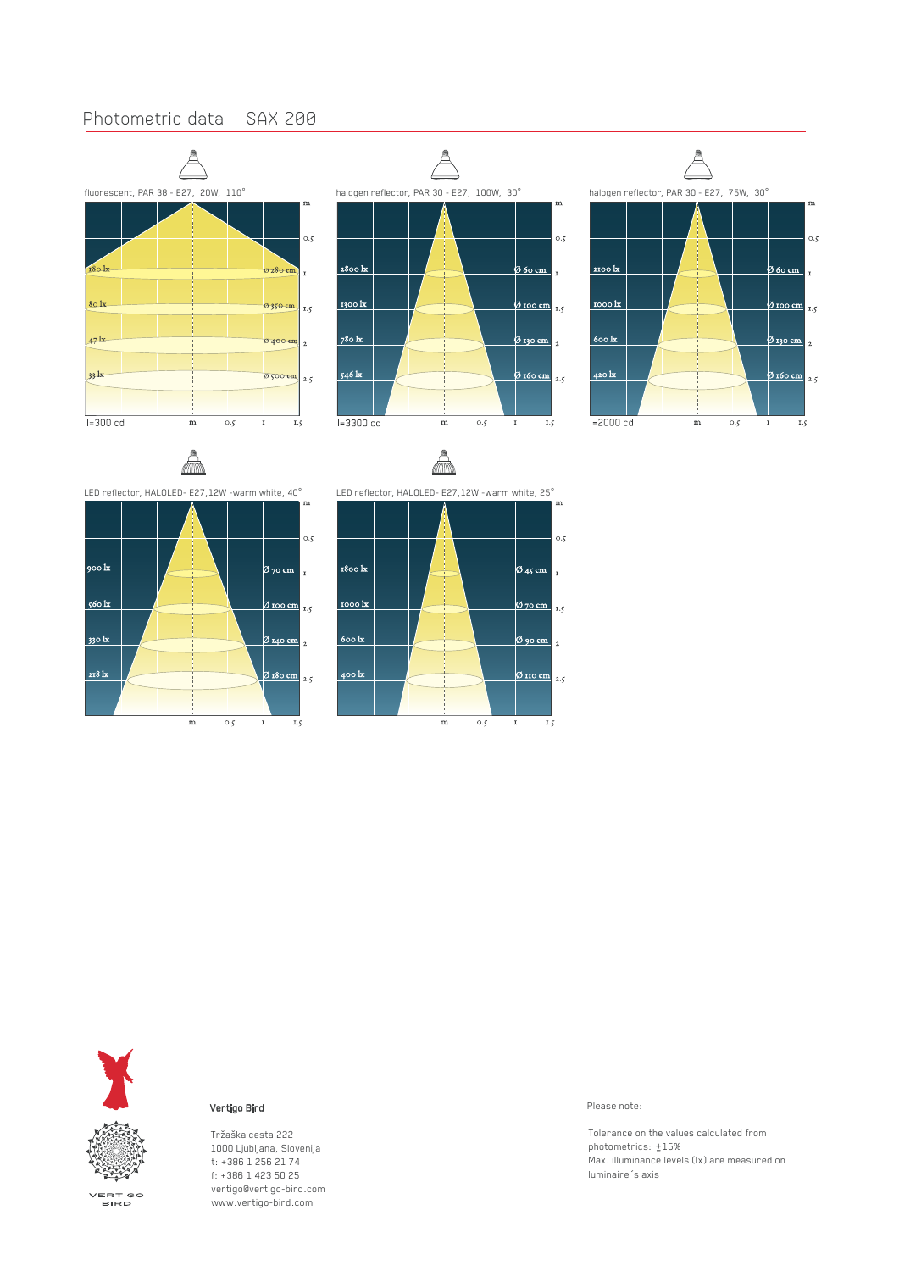# Photometric data SAX 200







900 kx

 $560 \text{ kg}$ 

330 kx

218 lx



 $\mathbf{m}$ 

 $0.5$ 

 $\mathbf{I}$  $1.5$ 

0 70 cm

 $\phi$  100 cm  $_{1.5}$ 

Ø 140 cm <sub>2</sub>

Ø 180 cm 2.5

 $\mathbf{I}$ 



**Vertigo Bird** Please note:

Tržaška cesta 222 1000 Ljubljana, Slovenija t: +386 1 256 21 74 f: +386 1 423 50 25 vertigo@vertigo-bird.com www.vertigo-bird.com

Tolerance on the values calculated from photometrics:  $±15%$ Max. illuminance levels (lx) are measured on luminaire´s axis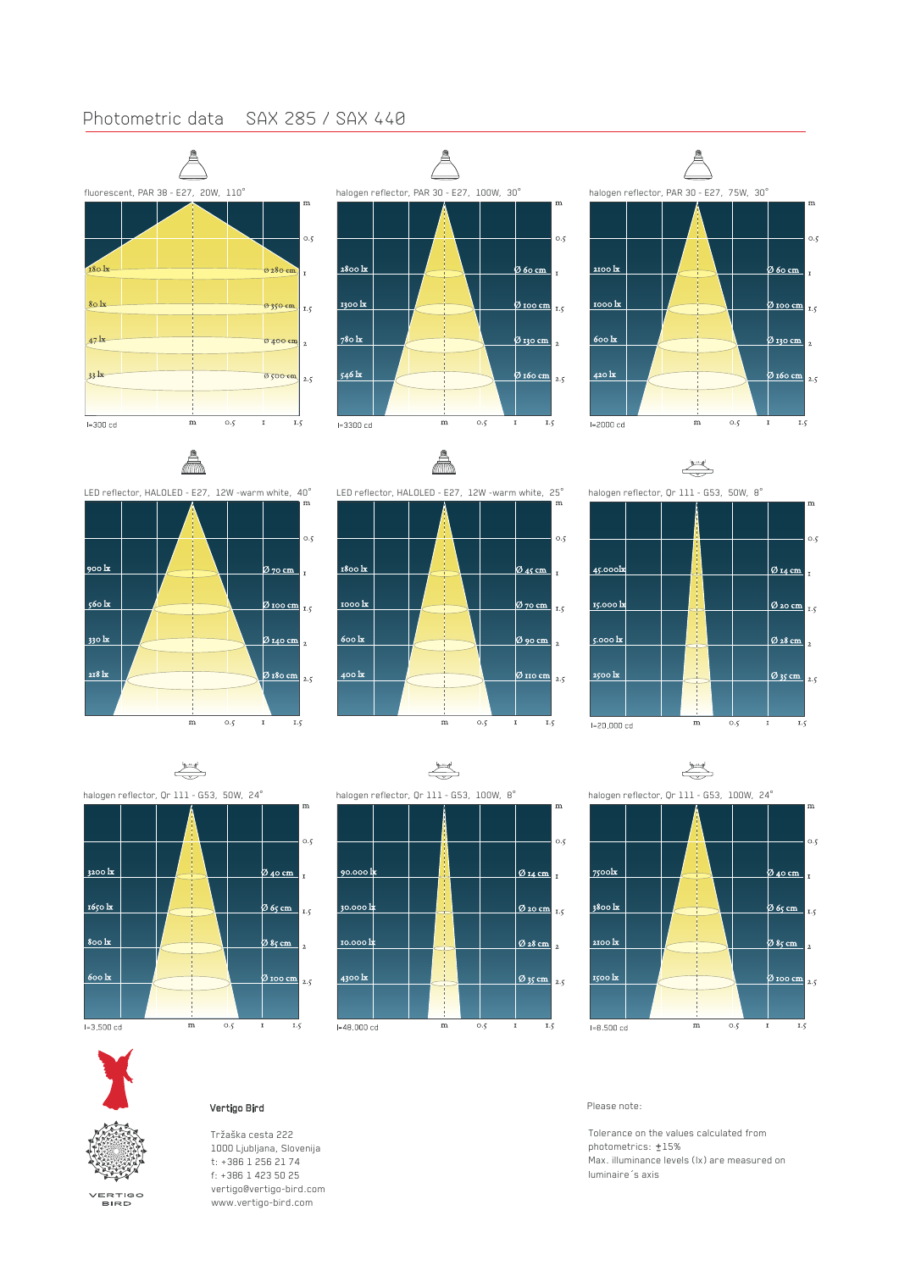# Photometric data SAX 285 / SAX 440







LED reflector, HALOLED - E27, 12W -warm white, 40°







 $\begin{picture}(120,10) \put(0,0){\line(1,0){10}} \put(15,0){\line(1,0){10}} \put(15,0){\line(1,0){10}} \put(15,0){\line(1,0){10}} \put(15,0){\line(1,0){10}} \put(15,0){\line(1,0){10}} \put(15,0){\line(1,0){10}} \put(15,0){\line(1,0){10}} \put(15,0){\line(1,0){10}} \put(15,0){\line(1,0){10}} \put(15,0){\line(1,0){10}} \put(15,0){\line($ 



 $\begin{picture}(20,20) \put(0,0){\line(1,0){10}} \put(15,0){\line(1,0){10}} \put(15,0){\line(1,0){10}} \put(15,0){\line(1,0){10}} \put(15,0){\line(1,0){10}} \put(15,0){\line(1,0){10}} \put(15,0){\line(1,0){10}} \put(15,0){\line(1,0){10}} \put(15,0){\line(1,0){10}} \put(15,0){\line(1,0){10}} \put(15,0){\line(1,0){10}} \put(15,0){\line(1$ halogen reflector, Qr 111 - G53, 50W, 24°  $\overline{m}$  $0.5$ <u>3200 k</u> <u> 240 cm </u>  $\mathbf{r}$ 1650 lx 20 65 cm  $1.5$ 800 kg (2) 85 cm  $\overline{\mathbf{r}}$  $600 \text{ k}$  $\frac{20 \text{ roo cm}}{2.5}$  $_{\rm 0.5}$  $1 - 3.500$  cd  $\overline{m}$  $\overline{1.5}$ 





Tržaška cesta 222 1000 Ljubljana, Slovenija t: +386 1 256 21 74 f: +386 1 423 50 25 vertigo@vertigo-bird.com www.vertigo-bird.com

 $\mathbf I$ 

# **Vertigo Bird Please note:**

Tolerance on the values calculated from photometrics:  $±15%$ Max. illuminance levels (lx) are measured on luminaire´s axis

VERTIGO<br>BIRD